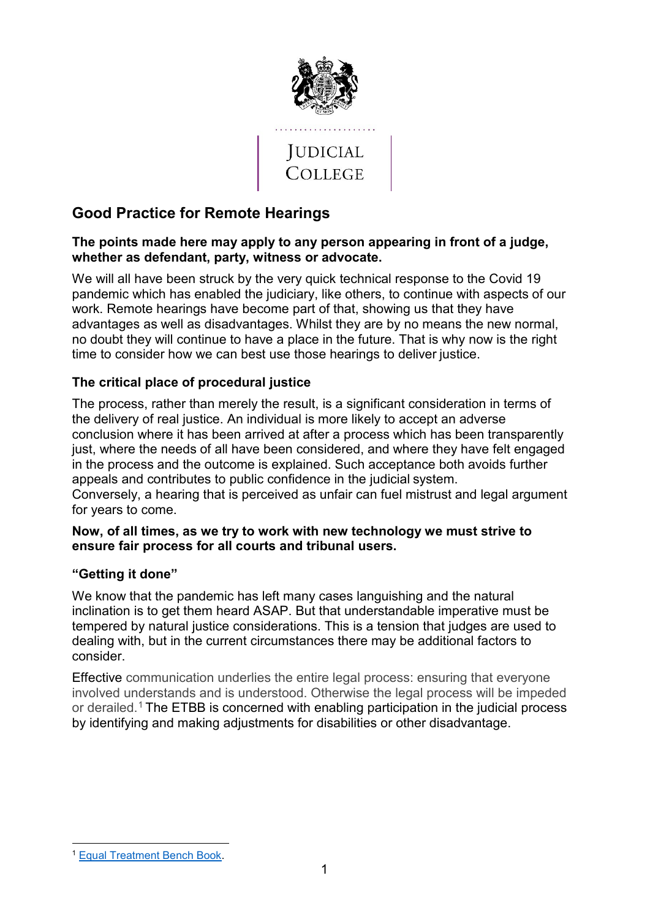

# **Good Practice for Remote Hearings**

#### **The points made here may apply to any person appearing in front of a judge, whether as defendant, party, witness or advocate.**

We will all have been struck by the very quick technical response to the Covid 19 pandemic which has enabled the judiciary, like others, to continue with aspects of our work. Remote hearings have become part of that, showing us that they have advantages as well as disadvantages. Whilst they are by no means the new normal, no doubt they will continue to have a place in the future. That is why now is the right time to consider how we can best use those hearings to deliver justice.

## **The critical place of procedural justice**

The process, rather than merely the result, is a significant consideration in terms of the delivery of real justice. An individual is more likely to accept an adverse conclusion where it has been arrived at after a process which has been transparently just, where the needs of all have been considered, and where they have felt engaged in the process and the outcome is explained. Such acceptance both avoids further appeals and contributes to public confidence in the judicial system. Conversely, a hearing that is perceived as unfair can fuel mistrust and legal argument for years to come.

#### **Now, of all times, as we try to work with new technology we must strive to ensure fair process for all courts and tribunal users.**

## **"Getting it done"**

We know that the pandemic has left many cases languishing and the natural inclination is to get them heard ASAP. But that understandable imperative must be tempered by natural justice considerations. This is a tension that judges are used to dealing with, but in the current circumstances there may be additional factors to consider.

Effective communication underlies the entire legal process: ensuring that everyone involved understands and is understood. Otherwise the legal process will be impeded or derailed.[1](#page-0-0) The ETBB is concerned with enabling participation in the judicial process by identifying and making adjustments for disabilities or other disadvantage.

<span id="page-0-0"></span><sup>-</sup><sup>1</sup> [Equal Treatment Bench Book.](https://judicialcollege.judiciary.gov.uk/mod/book/view.php?id=27208&chapterid=1594)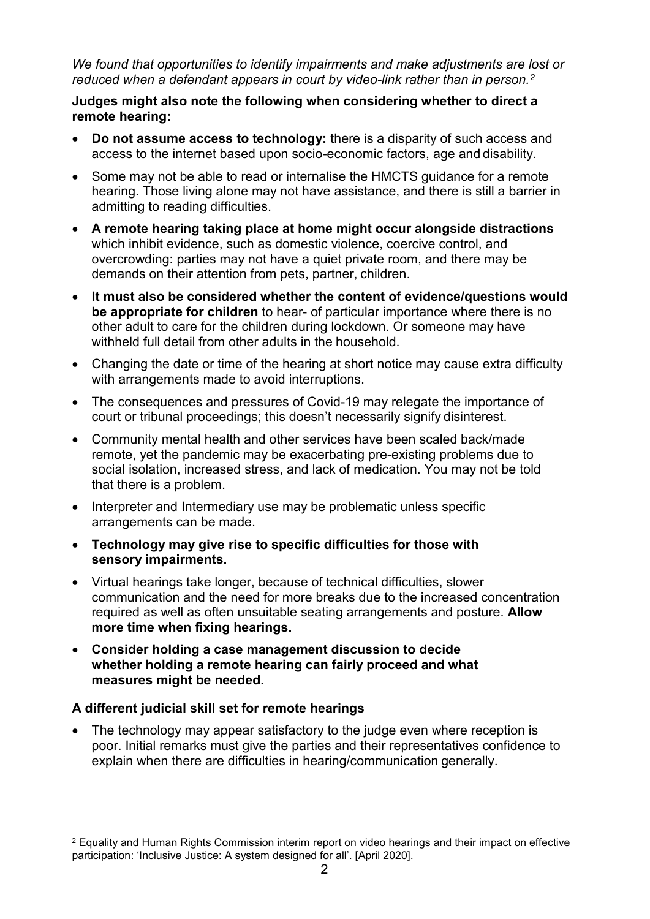*We found that opportunities to identify impairments and make adjustments are lost or reduced when a defendant appears in court by video-link rather than in person.[2](#page-1-0)*

## **Judges might also note the following when considering whether to direct a remote hearing:**

- **Do not assume access to technology:** there is a disparity of such access and access to the internet based upon socio-economic factors, age and disability.
- Some may not be able to read or internalise the HMCTS guidance for a remote hearing. Those living alone may not have assistance, and there is still a barrier in admitting to reading difficulties.
- **A remote hearing taking place at home might occur alongside distractions**  which inhibit evidence, such as domestic violence, coercive control, and overcrowding: parties may not have a quiet private room, and there may be demands on their attention from pets, partner, children.
- **It must also be considered whether the content of evidence/questions would be appropriate for children** to hear- of particular importance where there is no other adult to care for the children during lockdown. Or someone may have withheld full detail from other adults in the household.
- Changing the date or time of the hearing at short notice may cause extra difficulty with arrangements made to avoid interruptions.
- The consequences and pressures of Covid-19 may relegate the importance of court or tribunal proceedings; this doesn't necessarily signify disinterest.
- Community mental health and other services have been scaled back/made remote, yet the pandemic may be exacerbating pre-existing problems due to social isolation, increased stress, and lack of medication. You may not be told that there is a problem.
- Interpreter and Intermediary use may be problematic unless specific arrangements can be made.
- **Technology may give rise to specific difficulties for those with sensory impairments.**
- Virtual hearings take longer, because of technical difficulties, slower communication and the need for more breaks due to the increased concentration required as well as often unsuitable seating arrangements and posture. **Allow more time when fixing hearings.**
- **Consider holding a case management discussion to decide whether holding a remote hearing can fairly proceed and what measures might be needed.**

## **A different judicial skill set for remote hearings**

• The technology may appear satisfactory to the judge even where reception is poor. Initial remarks must give the parties and their representatives confidence to explain when there are difficulties in hearing/communication generally.

<span id="page-1-0"></span><sup>-</sup><sup>2</sup> Equality and Human Rights Commission interim report on video hearings and their impact on effective participation: 'Inclusive Justice: A system designed for all'. [April 2020].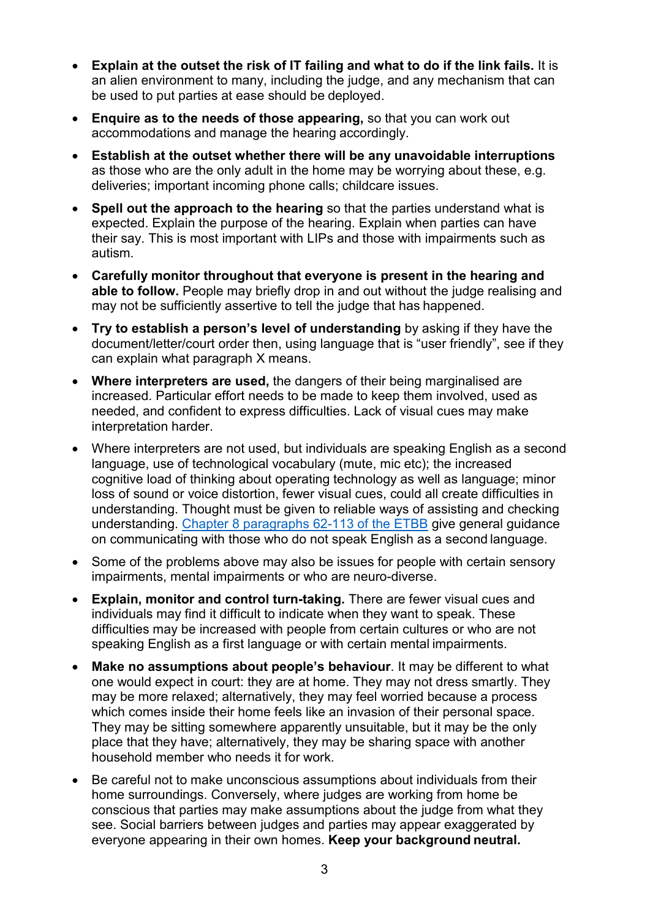- **Explain at the outset the risk of IT failing and what to do if the link fails.** It is an alien environment to many, including the judge, and any mechanism that can be used to put parties at ease should be deployed.
- **Enquire as to the needs of those appearing,** so that you can work out accommodations and manage the hearing accordingly.
- **Establish at the outset whether there will be any unavoidable interruptions**  as those who are the only adult in the home may be worrying about these, e.g. deliveries; important incoming phone calls; childcare issues.
- **Spell out the approach to the hearing** so that the parties understand what is expected. Explain the purpose of the hearing. Explain when parties can have their say. This is most important with LIPs and those with impairments such as autism.
- **Carefully monitor throughout that everyone is present in the hearing and able to follow.** People may briefly drop in and out without the judge realising and may not be sufficiently assertive to tell the judge that has happened.
- **Try to establish a person's level of understanding** by asking if they have the document/letter/court order then, using language that is "user friendly", see if they can explain what paragraph X means.
- **Where interpreters are used,** the dangers of their being marginalised are increased. Particular effort needs to be made to keep them involved, used as needed, and confident to express difficulties. Lack of visual cues may make interpretation harder.
- Where interpreters are not used, but individuals are speaking English as a second language, use of technological vocabulary (mute, mic etc); the increased cognitive load of thinking about operating technology as well as language; minor loss of sound or voice distortion, fewer visual cues, could all create difficulties in understanding. Thought must be given to reliable ways of assisting and checking understanding. [Chapter 8 paragraphs 62-113 of the ETBB](https://judicialcollege.judiciary.gov.uk/mod/book/view.php?id=28560&chapterid=1836) give general guidance on communicating with those who do not speak English as a second language.
- Some of the problems above may also be issues for people with certain sensory impairments, mental impairments or who are neuro-diverse.
- **Explain, monitor and control turn-taking.** There are fewer visual cues and individuals may find it difficult to indicate when they want to speak. These difficulties may be increased with people from certain cultures or who are not speaking English as a first language or with certain mental impairments.
- **Make no assumptions about people's behaviour**. It may be different to what one would expect in court: they are at home. They may not dress smartly. They may be more relaxed; alternatively, they may feel worried because a process which comes inside their home feels like an invasion of their personal space. They may be sitting somewhere apparently unsuitable, but it may be the only place that they have; alternatively, they may be sharing space with another household member who needs it for work.
- Be careful not to make unconscious assumptions about individuals from their home surroundings. Conversely, where judges are working from home be conscious that parties may make assumptions about the judge from what they see. Social barriers between judges and parties may appear exaggerated by everyone appearing in their own homes. **Keep your background neutral.**